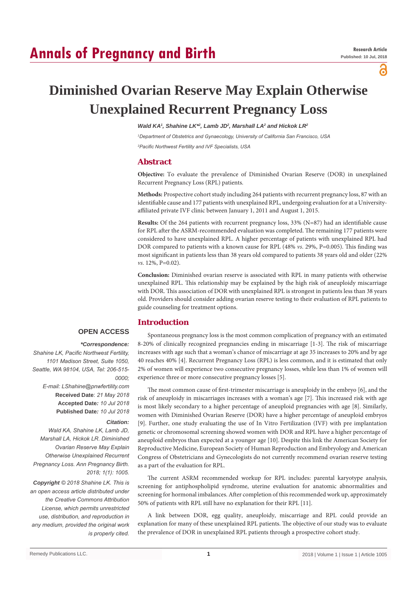# **Annals of Pregnancy and Birth**

ခ

# **Diminished Ovarian Reserve May Explain Otherwise Unexplained Recurrent Pregnancy Loss**

Wald KA<sup>1</sup>, Shahine LK<sup>\*2</sup>, Lamb JD<sup>2</sup>, Marshall LA<sup>2</sup> and Hickok LR<sup>2</sup>

*1 Department of Obstetrics and Gynaecology, University of California San Francisco, USA 2 Pacific Northwest Fertility and IVF Specialists, USA*

## **Abstract**

**Objective:** To evaluate the prevalence of Diminished Ovarian Reserve (DOR) in unexplained Recurrent Pregnancy Loss (RPL) patients.

**Methods:** Prospective cohort study including 264 patients with recurrent pregnancy loss, 87 with an identifiable cause and 177 patients with unexplained RPL, undergoing evaluation for at a Universityaffiliated private IVF clinic between January 1, 2011 and August 1, 2015.

**Results:** Of the 264 patients with recurrent pregnancy loss, 33% (N=87) had an identifiable cause for RPL after the ASRM-recommended evaluation was completed. The remaining 177 patients were considered to have unexplained RPL. A higher percentage of patients with unexplained RPL had DOR compared to patients with a known cause for RPL (48% *vs*. 29%, P=0.005). This finding was most significant in patients less than 38 years old compared to patients 38 years old and older (22% *vs*. 12%, P=0.02).

**Conclusion:** Diminished ovarian reserve is associated with RPL in many patients with otherwise unexplained RPL. This relationship may be explained by the high risk of aneuploidy miscarriage with DOR. This association of DOR with unexplained RPL is strongest in patients less than 38 years old. Providers should consider adding ovarian reserve testing to their evaluation of RPL patients to guide counseling for treatment options.

# **Introduction**

## **OPEN ACCESS**

#### *\*Correspondence:*

*Shahine LK, Pacific Northwest Fertility, 1101 Madison Street, Suite 1050, Seattle, WA 98104, USA, Tel: 206-515- 0000; E-mail: LShahine@pnwfertility.com* **Received Date**: *21 May 2018* **Accepted Date***: 10 Jul 2018* **Published Date***: 10 Jul 2018*

#### *Citation:*

*Wald KA, Shahine LK, Lamb JD, Marshall LA, Hickok LR. Diminished Ovarian Reserve May Explain Otherwise Unexplained Recurrent Pregnancy Loss. Ann Pregnancy Birth. 2018; 1(1): 1005.*

*Copyright © 2018 Shahine LK. This is an open access article distributed under the Creative Commons Attribution License, which permits unrestricted use, distribution, and reproduction in any medium, provided the original work is properly cited.*

Spontaneous pregnancy loss is the most common complication of pregnancy with an estimated 8-20% of clinically recognized pregnancies ending in miscarriage [1-3]. The risk of miscarriage increases with age such that a woman's chance of miscarriage at age 35 increases to 20% and by age 40 reaches 40% [4]. Recurrent Pregnancy Loss (RPL) is less common, and it is estimated that only 2% of women will experience two consecutive pregnancy losses, while less than 1% of women will experience three or more consecutive pregnancy losses [5].

The most common cause of first-trimester miscarriage is aneuploidy in the embryo [6], and the risk of aneuploidy in miscarriages increases with a woman's age [7]. This increased risk with age is most likely secondary to a higher percentage of aneuploid pregnancies with age [8]. Similarly, women with Diminished Ovarian Reserve (DOR) have a higher percentage of aneuploid embryos [9]. Further, one study evaluating the use of In Vitro Fertilization (IVF) with pre implantation genetic or chromosomal screening showed women with DOR and RPL have a higher percentage of aneuploid embryos than expected at a younger age [10]. Despite this link the American Society for Reproductive Medicine, European Society of Human Reproduction and Embryology and American Congress of Obstetricians and Gynecologists do not currently recommend ovarian reserve testing as a part of the evaluation for RPL.

The current ASRM recommended workup for RPL includes: parental karyotype analysis, screening for antiphospholipid syndrome, uterine evaluation for anatomic abnormalities and screening for hormonal imbalances. After completion of this recommended work up, approximately 50% of patients with RPL still have no explanation for their RPL [11].

A link between DOR, egg quality, aneuploidy, miscarriage and RPL could provide an explanation for many of these unexplained RPL patients. The objective of our study was to evaluate the prevalence of DOR in unexplained RPL patients through a prospective cohort study.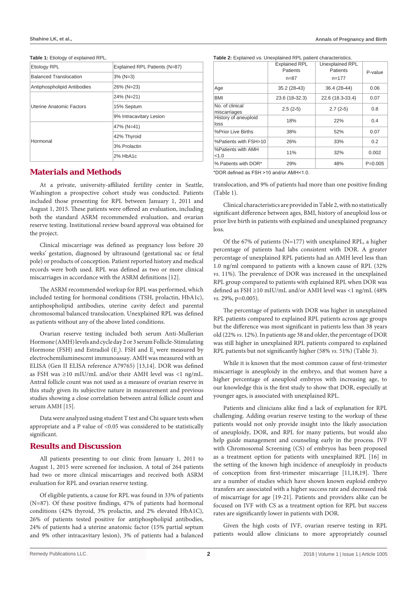#### **Shahine LK, et al., Annals of Pregnancy and Birth**

#### Table 1: Etiology of explained RPL

| <b>Etiology RPL</b>           | Explained RPL Patients (N=87) |
|-------------------------------|-------------------------------|
| <b>Balanced Translocation</b> | $3\%$ (N=3)                   |
| Antiphospholipid Antibodies   | 26% (N=23)                    |
|                               | 24% (N=21)                    |
| Uterine Anatomic Factors      | 15% Septum                    |
|                               | 9% Intracavitary Lesion       |
|                               | $47\%$ (N=41)                 |
| Hormonal                      | 42% Thyroid                   |
|                               | 3% Prolactin                  |
|                               | $2%$ HbA1 $c$                 |

## **Materials and Methods**

At a private, university-affiliated fertility center in Seattle, Washington a prospective cohort study was conducted. Patients included those presenting for RPL between January 1, 2011 and August 1, 2015. These patients were offered an evaluation, including both the standard ASRM recommended evaluation, and ovarian reserve testing. Institutional review board approval was obtained for the project.

Clinical miscarriage was defined as pregnancy loss before 20 weeks' gestation, diagnosed by ultrasound (gestational sac or fetal pole) or products of conception. Patient reported history and medical records were both used. RPL was defined as two or more clinical miscarriages in accordance with the ASRM definitions [12].

The ASRM recommended workup for RPL was performed, which included testing for hormonal conditions (TSH, prolactin, HbA1c), antiphospholipid antibodies, uterine cavity defect and parental chromosomal balanced translocation. Unexplained RPL was defined as patients without any of the above listed conditions.

Ovarian reserve testing included both serum Anti-Mullerian Hormone (AMH) levels and cycle day 2 or 3 serum Follicle-Stimulating Hormone (FSH) and Estradiol ( $E_2$ ). FSH and  $E_2$  were measured by electrochemiluminescent immunoassay. AMH was measured with an ELISA (Gen II ELISA reference A79765) [13,14]. DOR was defined as FSH was  $\geq$ 10 mIU/mL and/or their AMH level was <1 ng/mL. Antral follicle count was not used as a measure of ovarian reserve in this study given its subjective nature in measurement and previous studies showing a close correlation between antral follicle count and serum AMH [15].

Data were analyzed using student T test and Chi square tests when appropriate and a P value of <0.05 was considered to be statistically significant.

### **Results and Discussion**

All patients presenting to our clinic from January 1, 2011 to August 1, 2015 were screened for inclusion. A total of 264 patients had two or more clinical miscarriages and received both ASRM evaluation for RPL and ovarian reserve testing.

Of eligible patients, a cause for RPL was found in 33% of patients (N=87). Of these positive findings, 47% of patients had hormonal conditions (42% thyroid, 3% prolactin, and 2% elevated HbA1C), 26% of patients tested positive for antiphospholipid antibodies, 24% of patients had a uterine anatomic factor (15% partial septum and 9% other intracavitary lesion), 3% of patients had a balanced

**Table 2:** Explained *vs.* Unexplained RPL patient characteristics.

|                                 | <b>Explained RPL</b><br>Patients | Unexplained RPL<br>Patients | P-value   |
|---------------------------------|----------------------------------|-----------------------------|-----------|
|                                 | $n = 87$                         | $n = 177$                   |           |
| Age                             | 35.2 (28-43)                     | 36.4 (28-44)                | 0.06      |
| BMI                             | 23.6 (18-32.3)                   | 22.6 (18.3-33.4)            | 0.07      |
| No. of clinical<br>miscarriages | $2.5(2-5)$                       | $2.7(2-5)$                  | 0.8       |
| History of aneuploid<br>loss    | 18%                              | 22%                         | 0.4       |
| %Prior Live Births              | 38%                              | 52%                         | 0.07      |
| %Patients with FSH>10           | 26%                              | 33%                         | 0.2       |
| %Patients with AMH<br>< 1.0     | 11%                              | 32%                         | 0.002     |
| % Patients with DOR*            | 29%                              | 48%                         | $P=0.005$ |

\*DOR defined as FSH >10 and/or AMH<1.0.

translocation, and 9% of patients had more than one positive finding (Table 1).

Clinical characteristics are provided in Table 2, with no statistically significant difference between ages, BMI, history of aneuploid loss or prior live birth in patients with explained and unexplained pregnancy loss.

Of the 67% of patients (N=177) with unexplained RPL, a higher percentage of patients had labs consistent with DOR. A greater percentage of unexplained RPL patients had an AMH level less than 1.0 ng/ml compared to patients with a known cause of RPL (32% *vs*. 11%). The prevalence of DOR was increased in the unexplained RPL group compared to patients with explained RPL when DOR was defined as FSH ≥10 mIU/mL and/or AMH level was <1 ng/mL (48% *vs.* 29%, p=0.005).

The percentage of patients with DOR was higher in unexplained RPL patients compared to explained RPL patients across age groups but the difference was most significant in patients less than 38 years old (22% *vs*. 12%). In patients age 38 and older, the percentage of DOR was still higher in unexplained RPL patients compared to explained RPL patients but not significantly higher (58% *vs*. 51%) (Table 3).

While it is known that the most common cause of first-trimester miscarriage is aneuploidy in the embryo, and that women have a higher percentage of aneuploid embryos with increasing age, to our knowledge this is the first study to show that DOR, especially at younger ages, is associated with unexplained RPL.

Patients and clinicians alike find a lack of explanation for RPL challenging. Adding ovarian reserve testing to the workup of these patients would not only provide insight into the likely association of aneuploidy, DOR, and RPL for many patients, but would also help guide management and counseling early in the process. IVF with Chromosomal Screening (CS) of embryos has been proposed as a treatment option for patients with unexplained RPL [16] in the setting of the known high incidence of aneuploidy in products of conception from first-trimester miscarriage [11,18,19]. There are a number of studies which have shown known euploid embryo transfers are associated with a higher success rate and decreased risk of miscarriage for age [19-21]. Patients and providers alike can be focused on IVF with CS as a treatment option for RPL but success rates are significantly lower in patients with DOR.

Given the high costs of IVF, ovarian reserve testing in RPL patients would allow clinicians to more appropriately counsel